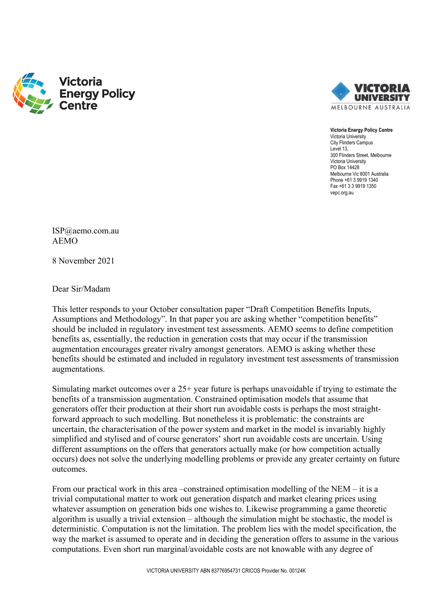



**Victoria Energy Policy Centre** Victoria University City Flinders Campus Level 13, 300 Flinders Street, Melbourne Victoria University PO Box 14428 Melbourne Vic 8001 Australia Phone +61 3 9919 1340 Fax +61 3 3 9919 1350 vepc.org.au

ISP@aemo.com.au AEMO

8 November 2021

Dear Sir/Madam

This letter responds to your October consultation paper "Draft Competition Benefits Inputs, Assumptions and Methodology". In that paper you are asking whether "competition benefits" should be included in regulatory investment test assessments. AEMO seems to define competition benefits as, essentially, the reduction in generation costs that may occur if the transmission augmentation encourages greater rivalry amongst generators. AEMO is asking whether these benefits should be estimated and included in regulatory investment test assessments of transmission augmentations.

Simulating market outcomes over a 25+ year future is perhaps unavoidable if trying to estimate the benefits of a transmission augmentation. Constrained optimisation models that assume that generators offer their production at their short run avoidable costs is perhaps the most straightforward approach to such modelling. But nonetheless it is problematic: the constraints are uncertain, the characterisation of the power system and market in the model is invariably highly simplified and stylised and of course generators' short run avoidable costs are uncertain. Using different assumptions on the offers that generators actually make (or how competition actually occurs) does not solve the underlying modelling problems or provide any greater certainty on future outcomes.

From our practical work in this area –constrained optimisation modelling of the NEM – it is a trivial computational matter to work out generation dispatch and market clearing prices using whatever assumption on generation bids one wishes to. Likewise programming a game theoretic algorithm is usually a trivial extension – although the simulation might be stochastic, the model is deterministic. Computation is not the limitation. The problem lies with the model specification, the way the market is assumed to operate and in deciding the generation offers to assume in the various computations. Even short run marginal/avoidable costs are not knowable with any degree of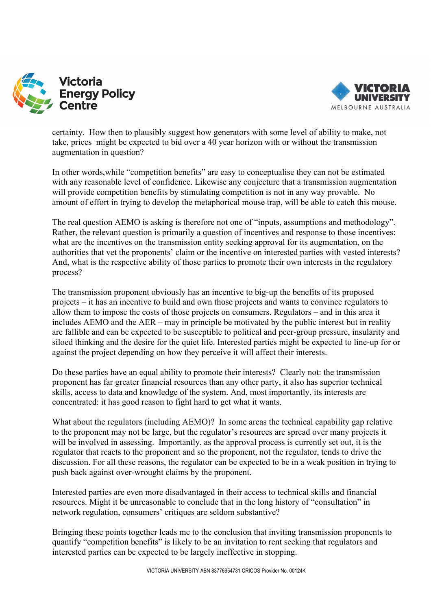



certainty. How then to plausibly suggest how generators with some level of ability to make, not take, prices might be expected to bid over a 40 year horizon with or without the transmission augmentation in question?

In other words,while "competition benefits" are easy to conceptualise they can not be estimated with any reasonable level of confidence. Likewise any conjecture that a transmission augmentation will provide competition benefits by stimulating competition is not in any way provable. No amount of effort in trying to develop the metaphorical mouse trap, will be able to catch this mouse.

The real question AEMO is asking is therefore not one of "inputs, assumptions and methodology". Rather, the relevant question is primarily a question of incentives and response to those incentives: what are the incentives on the transmission entity seeking approval for its augmentation, on the authorities that vet the proponents' claim or the incentive on interested parties with vested interests? And, what is the respective ability of those parties to promote their own interests in the regulatory process?

The transmission proponent obviously has an incentive to big-up the benefits of its proposed projects – it has an incentive to build and own those projects and wants to convince regulators to allow them to impose the costs of those projects on consumers. Regulators – and in this area it includes AEMO and the AER – may in principle be motivated by the public interest but in reality are fallible and can be expected to be susceptible to political and peer-group pressure, insularity and siloed thinking and the desire for the quiet life. Interested parties might be expected to line-up for or against the project depending on how they perceive it will affect their interests.

Do these parties have an equal ability to promote their interests? Clearly not: the transmission proponent has far greater financial resources than any other party, it also has superior technical skills, access to data and knowledge of the system. And, most importantly, its interests are concentrated: it has good reason to fight hard to get what it wants.

What about the regulators (including AEMO)? In some areas the technical capability gap relative to the proponent may not be large, but the regulator's resources are spread over many projects it will be involved in assessing. Importantly, as the approval process is currently set out, it is the regulator that reacts to the proponent and so the proponent, not the regulator, tends to drive the discussion. For all these reasons, the regulator can be expected to be in a weak position in trying to push back against over-wrought claims by the proponent.

Interested parties are even more disadvantaged in their access to technical skills and financial resources. Might it be unreasonable to conclude that in the long history of "consultation" in network regulation, consumers' critiques are seldom substantive?

Bringing these points together leads me to the conclusion that inviting transmission proponents to quantify "competition benefits" is likely to be an invitation to rent seeking that regulators and interested parties can be expected to be largely ineffective in stopping.